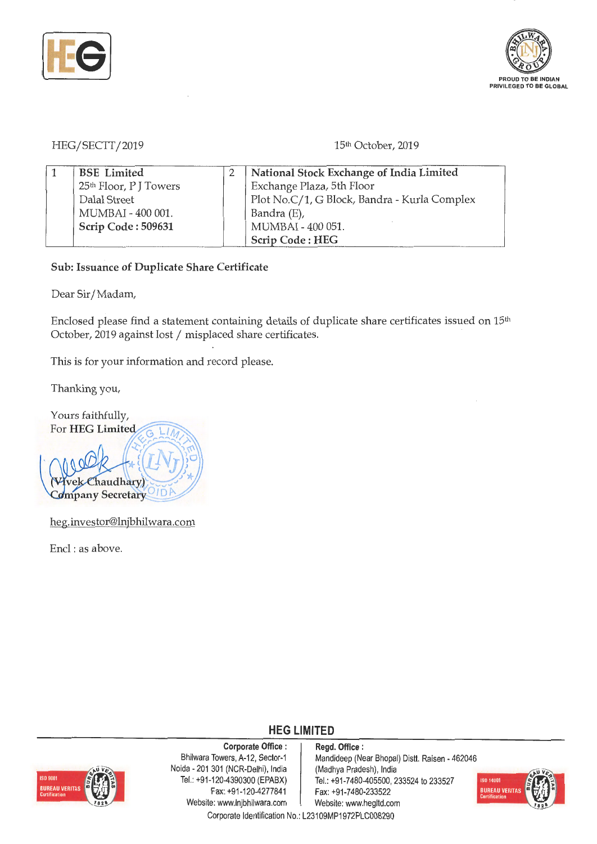



HEG/SECTT/2019 15th October, 2019

| <b>BSE</b> Limited                 | National Stock Exchange of India Limited     |
|------------------------------------|----------------------------------------------|
| 25 <sup>th</sup> Floor, P J Towers | Exchange Plaza, 5th Floor                    |
| Dalal Street                       | Plot No.C/1, G Block, Bandra - Kurla Complex |
| MUMBAI - 400 001.                  | Bandra (E),                                  |
| Scrip Code: 509631                 | MUMBAI - 400 051.                            |
|                                    | Scrip Code: HEG                              |

## **Sub: Issuance of Duplicate Share Certificate**

Dear Sir/ Madam,

Enclosed please find a statement containing details of duplicate share certificates issued on 15<sup>th</sup> October, 2019 against lost / misplaced share certificates.

This is for your information and record please.

Thanking you,

Yours faithfully, For HEG Limited Chaudhary) Company Secretary

heg.investor@lnjbhilwara.com

Encl : as above.



**Corporate Office** : Bhilwara Towers, A-12, Sector-1 Naida - 201 301 (NCR-Delhi), India Tel.: +91-120-4390300 (EPABX) Fax: +91-120-4277841 Website: www.lnjbhilwara.com | Website: www.hegltd.com

**Regd. Office** : Mandideep (Near Bhopal) Distt. Raisen - 462046 (Madhya Pradesh), India Tel.: +91 -7480-405500, 233524 to 233527 Fax: +91-7480-233522



Corporate Identification No.: L23109MP1972PLC008290

**HEG LIMITED**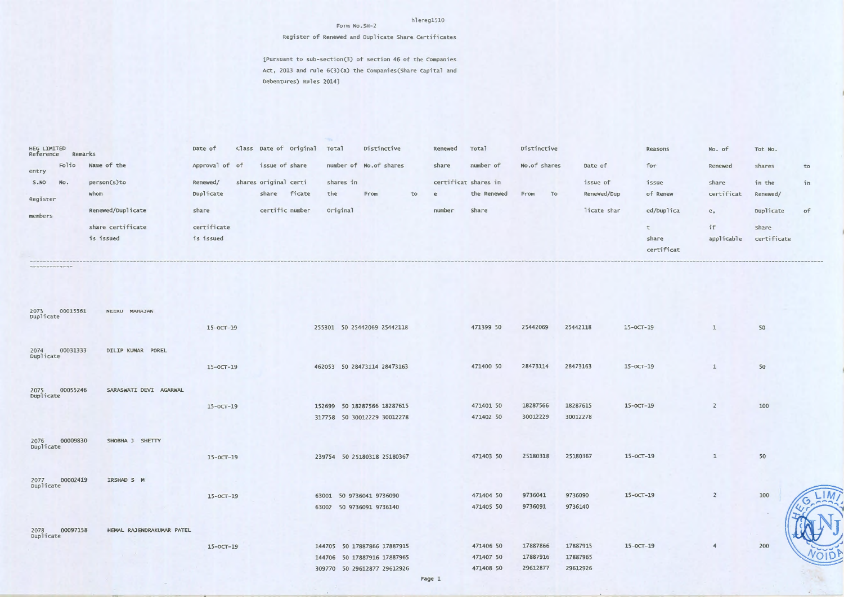## hlereg1510

Register of Renewed and Duplicate Share Certificates

[Pursuant to sub-section(3) of section 46 of the Companies Act, 2013 and rule 6(3)(a) the Companies (Share Capital and Debentures) Rules 2014]

Form No.SH-2

| HEG LIMITED<br>Reference | Remarks |                   | Date of        |                       | Class Date of Original | Total     | Distinctive            |    | Renewed              | Total       | Distinctive  |    |             | Reasons    | No. of         | Tot No.     |    |
|--------------------------|---------|-------------------|----------------|-----------------------|------------------------|-----------|------------------------|----|----------------------|-------------|--------------|----|-------------|------------|----------------|-------------|----|
| entry                    | Folio   | Name of the       | Approval of of | issue of share        |                        |           | number of No.of shares |    | share                | number of   | No.of shares |    | Date of     | for        | Renewed        | shares      | to |
| S.NO                     | No.     | person(s)to       | Renewed/       | shares original certi |                        | shares in |                        |    | certificat shares in |             |              |    | issue of    | issue      | share          | in the      | in |
| Register                 |         | whom              | Duplicate      | share                 | ficate                 | the       | From                   | to | e                    | the Renewed | From         | To | Renewed/Dup | of Renew   | certificat     | Renewed/    |    |
| members                  |         | Renewed/Duplicate | share          | certific number       |                        | Original  |                        |    | number               | Share       |              |    | licate shar | ed/Duplica | e <sub>1</sub> | Duplicate   | of |
|                          |         | share certificate | certificate    |                       |                        |           |                        |    |                      |             |              |    |             |            | if             | Share       |    |
|                          |         | is issued         | is issued      |                       |                        |           |                        |    |                      |             |              |    |             | share      | applicable     | certificate |    |
|                          |         |                   |                |                       |                        |           |                        |    |                      |             |              |    |             | certificat |                |             |    |

| 2073 C<br>Duplicate<br>00015561 | NEERU MAHAJAN             |                 |                             |           |          |          |                 |                |     |
|---------------------------------|---------------------------|-----------------|-----------------------------|-----------|----------|----------|-----------------|----------------|-----|
|                                 |                           | $15 - 0CT - 19$ | 255301 50 25442069 25442118 | 471399 50 | 25442069 | 25442118 | $15-0C$ T $-19$ | $\mathbf{1}$   | 50  |
| 00031333<br>2074<br>Duplicate   | DILIP KUMAR POREL         |                 |                             |           |          |          |                 |                |     |
|                                 |                           | $15 - 0CT - 19$ | 462053 50 28473114 28473163 | 471400 50 | 28473114 | 28473163 | $15-0CT-19$     | $\mathbf{1}$   | 50  |
| 2075 00055246<br>Duplicate      | SARASWATI DEVI AGARWAL    |                 |                             |           |          |          |                 |                |     |
|                                 |                           | $15 - 0CT - 19$ | 152699 50 18287566 18287615 | 471401 50 | 18287566 | 18287615 | $15 - 0CT - 19$ | $\overline{2}$ | 100 |
|                                 |                           |                 | 317758 50 30012229 30012278 | 471402 50 | 30012229 | 30012278 |                 |                |     |
| 00009830<br>2076 C<br>Duplicate | SHOBHA J SHETTY           |                 |                             |           |          |          |                 |                |     |
|                                 |                           | $15 - 0CT - 19$ | 239754 50 25180318 25180367 | 471403 50 | 25180318 | 25180367 | $15-0CT-19$     | $\mathbf{1}$   | 50  |
| 00002419<br>2077<br>Duplicate   | IRSHAD S M                |                 |                             |           |          |          |                 |                |     |
|                                 |                           | $15-0CT-19$     | 63001 50 9736041 9736090    | 471404 50 | 9736041  | 9736090  | $15-0CT-19$     | $\overline{2}$ | 100 |
|                                 |                           |                 | 63002 50 9736091 9736140    | 471405 50 | 9736091  | 9736140  |                 |                | G   |
| 00097158<br>2078<br>Duplicate   | HEMAL RAJENDRAKUMAR PATEL |                 |                             |           |          |          |                 |                |     |
|                                 |                           | $15-0CT-19$     | 144705 50 17887866 17887915 | 471406 50 | 17887866 | 17887915 | $15 - OCT - 19$ | $\overline{4}$ | 200 |
|                                 |                           |                 | 144706 50 17887916 17887965 | 471407 50 | 17887916 | 17887965 |                 |                |     |
|                                 |                           |                 | 309770 50 29612877 29612926 | 471408 50 | 29612877 | 29612926 |                 |                |     |
|                                 |                           |                 |                             |           |          |          |                 |                |     |

 $-M$ 

NJ

OID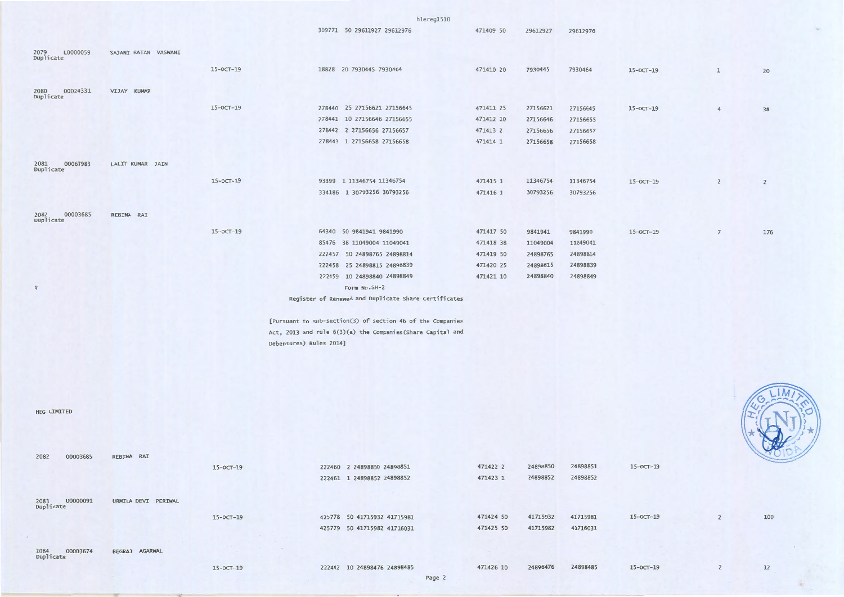|                                 |                      |                 |                         | hlereg1510                                                  |           |          |          |                 |                |                |
|---------------------------------|----------------------|-----------------|-------------------------|-------------------------------------------------------------|-----------|----------|----------|-----------------|----------------|----------------|
|                                 |                      |                 |                         | 309771 50 29612927 29612976                                 | 471409 50 | 29612927 | 29612976 |                 |                |                |
| L0000059<br>2079                | SAJANI RATAN VASWANI |                 |                         |                                                             |           |          |          |                 |                |                |
| Duplicate                       |                      |                 |                         |                                                             |           |          |          |                 |                |                |
|                                 |                      | $15-0CT-19$     |                         | 18828 20 7930445 7930464                                    | 471410 20 | 7930445  | 7930464  | $15-0CT-19$     | $1\,$          | 20             |
| 00024331<br>2080 0<br>Duplicate | VIJAY KUMAR          |                 |                         |                                                             |           |          |          |                 |                |                |
|                                 |                      | $15-0CT-19$     |                         | 278440 25 27156621 27156645                                 | 471411 25 | 27156621 | 27156645 | $15-0CT-19$     |                | 38             |
|                                 |                      |                 |                         | 278441 10 27156646 27156655                                 | 471412 10 | 27156646 | 27156655 |                 |                |                |
|                                 |                      |                 |                         | 278442 2 27156656 27156657                                  | 471413 2  | 27156656 | 27156657 |                 |                |                |
|                                 |                      |                 |                         | 278443 1 27156658 27156658                                  | 471414 1  | 27156658 | 27156658 |                 |                |                |
|                                 |                      |                 |                         |                                                             |           |          |          |                 |                |                |
| 00067983<br>2081<br>Duplicate   | LALIT KUMAR JAIN     |                 |                         |                                                             |           |          |          |                 |                |                |
|                                 |                      | $15-0C$ T $-19$ |                         | 93399 1 11346754 11346754                                   | 471415 1  | 11346754 | 11346754 | $15 - 0CT - 19$ | $\overline{2}$ | $\overline{2}$ |
|                                 |                      |                 |                         | 334186 1 30793256 30793256                                  | 471416 1  | 30793256 | 30793256 |                 |                |                |
|                                 |                      |                 |                         |                                                             |           |          |          |                 |                |                |
| 00003685<br>2082<br>Duplicate   | REBINA RAI           |                 |                         |                                                             |           |          |          |                 |                |                |
|                                 |                      | $15-0CT-19$     |                         | 64340 50 9841941 9841990                                    | 471417 50 | 9841941  | 9841990  | $15-0CT-19$     | $\overline{7}$ | 176            |
|                                 |                      |                 |                         | 85476 38 11049004 11049041                                  | 471418 38 | 11049004 | 11049041 |                 |                |                |
|                                 |                      |                 |                         | 222457 50 24898765 24898814                                 | 471419 50 | 24898765 | 24898814 |                 |                |                |
|                                 |                      |                 |                         | 222458 25 24898815 24898839                                 | 471420 25 | 24898815 | 24898839 |                 |                |                |
|                                 |                      |                 |                         | 222459 10 24898840 24898849                                 | 471421 10 | 24898840 | 24898849 |                 |                |                |
| $\frac{9}{4}$                   |                      |                 |                         | Form No.SH-2                                                |           |          |          |                 |                |                |
|                                 |                      |                 |                         | Register of Renewed and Duplicate Share Certificates        |           |          |          |                 |                |                |
|                                 |                      |                 |                         | [Pursuant to sub-section(3) of section 46 of the Companies  |           |          |          |                 |                |                |
|                                 |                      |                 |                         | Act, 2013 and rule 6(3)(a) the Companies (Share Capital and |           |          |          |                 |                |                |
|                                 |                      |                 | Debentures) Rules 2014] |                                                             |           |          |          |                 |                |                |
|                                 |                      |                 |                         |                                                             |           |          |          |                 |                |                |
|                                 |                      |                 |                         |                                                             |           |          |          |                 |                |                |
|                                 |                      |                 |                         |                                                             |           |          |          |                 |                |                |
|                                 |                      |                 |                         |                                                             |           |          |          |                 |                | 1M             |
|                                 |                      |                 |                         |                                                             |           |          |          |                 |                |                |

| <b>HEG LIMITED</b>              |                          |             |                             |                       |          |             | <b>Property</b> |
|---------------------------------|--------------------------|-------------|-----------------------------|-----------------------|----------|-------------|-----------------|
| 00003685<br>2082                | REBINA RAI               | $15-0CT-19$ | 222460 2 24898850 24898851  | 24898850<br>471422 2  | 24898851 | $15-0CT-19$ |                 |
|                                 |                          |             |                             | 24898852              | 24898852 |             |                 |
|                                 |                          |             | 222461 1 24898852 24898852  | 471423 1              |          |             |                 |
| U0000091<br>2083 U<br>Duplicate | URMILA DEVI PERIWAL      |             |                             |                       |          |             |                 |
|                                 |                          | $15-0CT-19$ | 425778 50 41715932 41715981 | 41715932<br>471424 50 | 41715981 | $15-0CT-19$ | 100             |
|                                 |                          |             | 425779 50 41715982 41716031 | 41715982<br>471425 50 | 41716031 |             |                 |
| $\sim$                          |                          |             |                             |                       |          |             |                 |
| 00003674<br>2084 C<br>Duplicate | <b>BEGRAJ</b><br>AGARWAL |             |                             |                       |          |             |                 |
|                                 |                          | $15-0CT-19$ | 222442 10 24898476 24898485 | 24898476<br>471426 10 | 24898485 | $15-0CT-19$ | 12              |
|                                 |                          |             | Page 2                      |                       |          |             |                 |